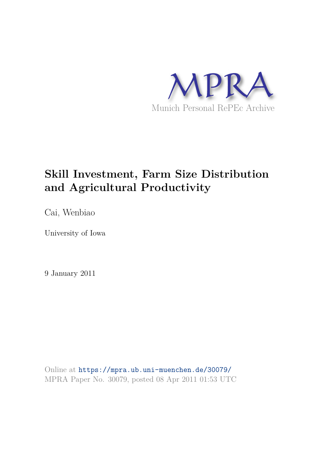

# **Skill Investment, Farm Size Distribution and Agricultural Productivity**

Cai, Wenbiao

University of Iowa

9 January 2011

Online at https://mpra.ub.uni-muenchen.de/30079/ MPRA Paper No. 30079, posted 08 Apr 2011 01:53 UTC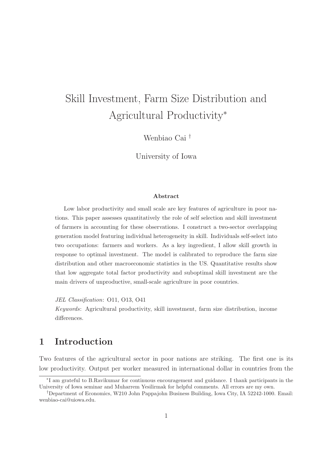# Skill Investment, Farm Size Distribution and Agricultural Productivity<sup>∗</sup>

Wenbiao Cai †

University of Iowa

#### Abstract

Low labor productivity and small scale are key features of agriculture in poor nations. This paper assesses quantitatively the role of self selection and skill investment of farmers in accounting for these observations. I construct a two-sector overlapping generation model featuring individual heterogeneity in skill. Individuals self-select into two occupations: farmers and workers. As a key ingredient, I allow skill growth in response to optimal investment. The model is calibrated to reproduce the farm size distribution and other macroeconomic statistics in the US. Quantitative results show that low aggregate total factor productivity and suboptimal skill investment are the main drivers of unproductive, small-scale agriculture in poor countries.

JEL Classification: O11, O13, O41

Keywords: Agricultural productivity, skill investment, farm size distribution, income differences.

### 1 Introduction

Two features of the agricultural sector in poor nations are striking. The first one is its low productivity. Output per worker measured in international dollar in countries from the

<sup>∗</sup> I am grateful to B.Ravikumar for continuous encouragement and guidance. I thank participants in the University of Iowa seminar and Muharrem Yesilirmak for helpful comments. All errors are my own.

<sup>†</sup>Department of Economics, W210 John Pappajohn Business Building, Iowa City, IA 52242-1000. Email: wenbiao-cai@uiowa.edu.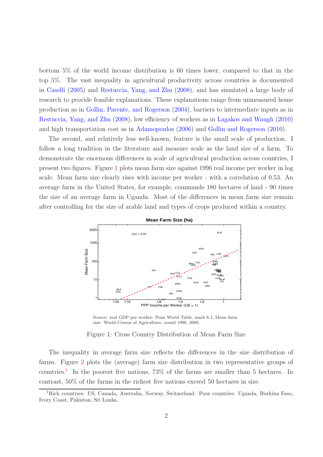bottom 5% of the world income distribution is 60 times lower, compared to that in the top 5%. The vast inequality in agricultural productivity across countries is documented in Caselli (2005) and Restuccia, Yang, and Zhu (2008), and has simulated a large body of research to provide feasible explanations. These explanations range from unmeasured home production as in Gollin, Parente, and Rogerson (2004), barriers to intermediate inputs as in Restuccia, Yang, and Zhu (2008), low efficiency of workers as in Lagakos and Waugh (2010) and high transportation cost as in Adamopoulos (2006) and Gollin and Rogerson (2010).

The second, and relatively less well-known, feature is the small scale of production. I follow a long tradition in the literature and measure scale as the land size of a farm. To demonstrate the enormous differences in scale of agricultural production across countries, I present two figures. Figure 1 plots mean farm size against 1996 real income per worker in log scale. Mean farm size clearly rises with income per worker - with a correlation of 0.53. An average farm in the United States, for example, commands 180 hectares of land - 90 times the size of an average farm in Uganda. Most of the differences in mean farm size remain after controlling for the size of arable land and types of crops produced within a country.



Source: real GDP per worker: Penn World Table, mark 6.1; Mean farm size: World Census of Agriculture, round 1990, 2000.

Figure 1: Cross Country Distribution of Mean Farm Size

The inequality in average farm size reflects the differences in the size distribution of farms. Figure 2 plots the (average) farm size distribution in two representative groups of countries.<sup>1</sup> In the poorest five nations, 73% of the farms are smaller than 5 hectares. In contrast, 50% of the farms in the richest five nations exceed 50 hectares in size.

<sup>&</sup>lt;sup>1</sup>Rich countries: US, Canada, Australia, Norway, Switzerland. Poor countries: Uganda, Burkina Faso, Ivory Coast, Pakistan, Sri Lanka.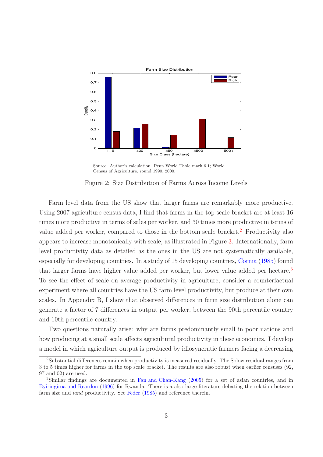

Source: Author's calculation. Penn World Table mark 6.1; World Census of Agriculture, round 1990, 2000.

Figure 2: Size Distribution of Farms Across Income Levels

Farm level data from the US show that larger farms are remarkably more productive. Using 2007 agriculture census data, I find that farms in the top scale bracket are at least 16 times more productive in terms of sales per worker, and 30 times more productive in terms of value added per worker, compared to those in the bottom scale bracket.<sup>2</sup> Productivity also appears to increase monotonically with scale, as illustrated in Figure 3. Internationally, farm level productivity data as detailed as the ones in the US are not systematically available, especially for developing countries. In a study of 15 developing countries, Cornia (1985) found that larger farms have higher value added per worker, but lower value added per hectare.<sup>3</sup> To see the effect of scale on average productivity in agriculture, consider a counterfactual experiment where all countries have the US farm level productivity, but produce at their own scales. In Appendix B, I show that observed differences in farm size distribution alone can generate a factor of 7 differences in output per worker, between the 90th percentile country and 10th percentile country.

Two questions naturally arise: why are farms predominantly small in poor nations and how producing at a small scale affects agricultural productivity in these economies. I develop a model in which agriculture output is produced by idiosyncratic farmers facing a decreasing

<sup>2</sup>Substantial differences remain when productivity is measured residually. The Solow residual ranges from 3 to 5 times higher for farms in the top scale bracket. The results are also robust when earlier censuses (92, 97 and 02) are used.

<sup>3</sup>Similar findings are documented in Fan and Chan-Kang (2005) for a set of asian countries, and in Byiringiroa and Reardon (1996) for Rwanda. There is a also large literature debating the relation between farm size and *land* productivity. See Feder (1985) and reference therein.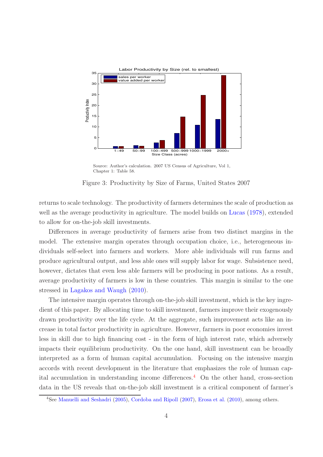

Source: Author's calculation. 2007 US Census of Agriculture, Vol 1, Chapter 1: Table 58.

Figure 3: Productivity by Size of Farms, United States 2007

returns to scale technology. The productivity of farmers determines the scale of production as well as the average productivity in agriculture. The model builds on Lucas  $(1978)$ , extended to allow for on-the-job skill investments.

Differences in average productivity of farmers arise from two distinct margins in the model. The extensive margin operates through occupation choice, i.e., heterogeneous individuals self-select into farmers and workers. More able individuals will run farms and produce agricultural output, and less able ones will supply labor for wage. Subsistence need, however, dictates that even less able farmers will be producing in poor nations. As a result, average productivity of farmers is low in these countries. This margin is similar to the one stressed in Lagakos and Waugh (2010).

The intensive margin operates through on-the-job skill investment, which is the key ingredient of this paper. By allocating time to skill investment, farmers improve their exogenously drawn productivity over the life cycle. At the aggregate, such improvement acts like an increase in total factor productivity in agriculture. However, farmers in poor economies invest less in skill due to high financing cost - in the form of high interest rate, which adversely impacts their equilibrium productivity. On the one hand, skill investment can be broadly interpreted as a form of human capital accumulation. Focusing on the intensive margin accords with recent development in the literature that emphasizes the role of human capital accumulation in understanding income differences.<sup>4</sup> On the other hand, cross-section data in the US reveals that on-the-job skill investment is a critical component of farmer's

<sup>&</sup>lt;sup>4</sup>See Manuelli and Seshadri (2005), Cordoba and Ripoll (2007), Erosa et al. (2010), among others.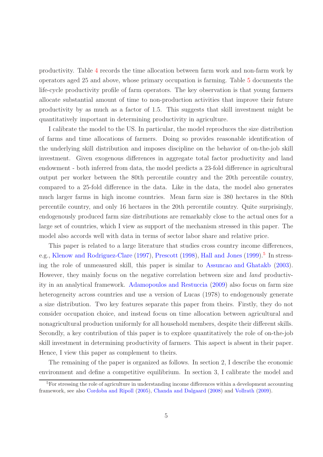productivity. Table 4 records the time allocation between farm work and non-farm work by operators aged 25 and above, whose primary occupation is farming. Table 5 documents the life-cycle productivity profile of farm operators. The key observation is that young farmers allocate substantial amount of time to non-production activities that improve their future productivity by as much as a factor of 1.5. This suggests that skill investment might be quantitatively important in determining productivity in agriculture.

I calibrate the model to the US. In particular, the model reproduces the size distribution of farms and time allocations of farmers. Doing so provides reasonable identification of the underlying skill distribution and imposes discipline on the behavior of on-the-job skill investment. Given exogenous differences in aggregate total factor productivity and land endowment - both inferred from data, the model predicts a 23-fold difference in agricultural output per worker between the 80th percentile country and the 20th percentile country, compared to a 25-fold difference in the data. Like in the data, the model also generates much larger farms in high income countries. Mean farm size is 380 hectares in the 80th percentile country, and only 16 hectares in the 20th percentile country. Quite surprisingly, endogenously produced farm size distributions are remarkably close to the actual ones for a large set of countries, which I view as support of the mechanism stressed in this paper. The model also accords well with data in terms of sector labor share and relative price.

This paper is related to a large literature that studies cross country income differences, e.g., Klenow and Rodriguez-Clare (1997), Prescott (1998), Hall and Jones (1999).<sup>5</sup> In stressing the role of unmeasured skill, this paper is similar to Assuncao and Ghatakb (2003). However, they mainly focus on the negative correlation between size and land productivity in an analytical framework. Adamopoulos and Restuccia (2009) also focus on farm size heterogeneity across countries and use a version of Lucas (1978) to endogenously generate a size distribution. Two key features separate this paper from theirs. Firstly, they do not consider occupation choice, and instead focus on time allocation between agricultural and nonagricultural production uniformly for all household members, despite their different skills. Secondly, a key contribution of this paper is to explore quantitatively the role of on-the-job skill investment in determining productivity of farmers. This aspect is absent in their paper. Hence, I view this paper as complement to theirs.

The remaining of the paper is organized as follows. In section 2, I describe the economic environment and define a competitive equilibrium. In section 3, I calibrate the model and

<sup>&</sup>lt;sup>5</sup>For stressing the role of agriculture in understanding income differences within a development accounting framework, see also Cordoba and Ripoll (2005), Chanda and Dalgaard (2008) and Vollrath (2009).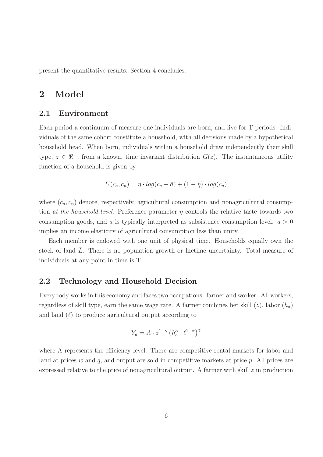present the quantitative results. Section 4 concludes.

### 2 Model

### 2.1 Environment

Each period a continuum of measure one individuals are born, and live for T periods. Individuals of the same cohort constitute a household, with all decisions made by a hypothetical household head. When born, individuals within a household draw independently their skill type,  $z \in \mathbb{R}^+$ , from a known, time invariant distribution  $G(z)$ . The instantaneous utility function of a household is given by

$$
U(c_a, c_n) = \eta \cdot log(c_a - \bar{a}) + (1 - \eta) \cdot log(c_n)
$$

where  $(c_a, c_n)$  denote, respectively, agricultural consumption and nonagricultural consumption at the household level. Preference parameter  $\eta$  controls the relative taste towards two consumption goods, and  $\bar{a}$  is typically interpreted as subsistence consumption level.  $\bar{a} > 0$ implies an income elasticity of agricultural consumption less than unity.

Each member is endowed with one unit of physical time. Households equally own the stock of land  $\overline{L}$ . There is no population growth or lifetime uncertainty. Total measure of individuals at any point in time is T.

### 2.2 Technology and Household Decision

Everybody works in this economy and faces two occupations: farmer and worker. All workers, regardless of skill type, earn the same wage rate. A farmer combines her skill  $(z)$ , labor  $(h_a)$ and land  $(\ell)$  to produce agricultural output according to

$$
Y_a = A \cdot z^{1-\gamma} \left( h_a^{\alpha} \cdot \ell^{1-\alpha} \right)^{\gamma}
$$

where A represents the efficiency level. There are competitive rental markets for labor and land at prices  $w$  and  $q$ , and output are sold in competitive markets at price  $p$ . All prices are expressed relative to the price of nonagricultural output. A farmer with skill  $z$  in production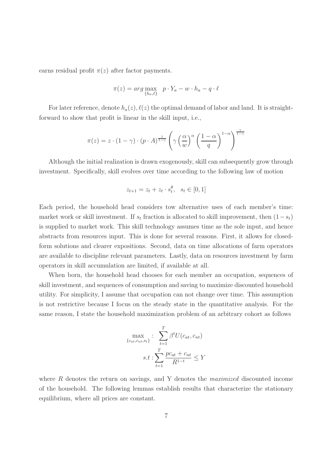earns residual profit  $\pi(z)$  after factor payments.

$$
\pi(z) = arg \max_{\{h_a, \ell\}} \ p \cdot Y_a - w \cdot h_a - q \cdot \ell
$$

For later reference, denote  $h_a(z)$ ,  $\ell(z)$  the optimal demand of labor and land. It is straightforward to show that profit is linear in the skill input, i.e.,

$$
\pi(z) = z \cdot (1 - \gamma) \cdot (p \cdot A)^{\frac{1}{1 - \gamma}} \left( \gamma \left( \frac{\alpha}{w} \right)^{\alpha} \left( \frac{1 - \alpha}{q} \right)^{1 - \alpha} \right)^{\frac{\gamma}{1 - \gamma}}
$$

Although the initial realization is drawn exogenously, skill can subsequently grow through investment. Specifically, skill evolves over time according to the following law of motion

$$
z_{t+1} = z_t + z_t \cdot s_t^{\theta}, \ \ s_t \in [0, 1]
$$

Each period, the household head considers tow alternative uses of each member's time: market work or skill investment. If  $s_t$  fraction is allocated to skill improvement, then  $(1-s_t)$ is supplied to market work. This skill technology assumes time as the sole input, and hence abstracts from resources input. This is done for several reasons. First, it allows for closedform solutions and clearer expositions. Second, data on time allocations of farm operators are available to discipline relevant parameters. Lastly, data on resources investment by farm operators in skill accumulation are limited, if available at all.

When born, the household head chooses for each member an occupation, sequences of skill investment, and sequences of consumption and saving to maximize discounted household utility. For simplicity, I assume that occupation can not change over time. This assumption is not restrictive because I focus on the steady state in the quantitative analysis. For the same reason, I state the household maximization problem of an arbitrary cohort as follows

$$
\max_{\{c_{at}, c_{nt}, s_t\}}: \sum_{t=1}^T \beta^t U(c_{at}, c_{nt})
$$

$$
s.t: \sum_{t=1}^T \frac{pc_{at} + c_{nt}}{R^{1-t}} \le Y
$$

where  $R$  denotes the return on savings, and Y denotes the *maximized* discounted income of the household. The following lemmas establish results that characterize the stationary equilibrium, where all prices are constant.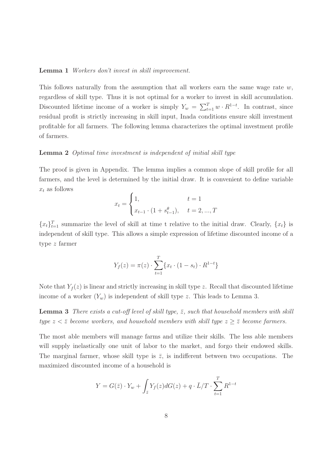#### Lemma 1 Workers don't invest in skill improvement.

This follows naturally from the assumption that all workers earn the same wage rate  $w$ , regardless of skill type. Thus it is not optimal for a worker to invest in skill accumulation. Discounted lifetime income of a worker is simply  $Y_w = \sum_{t=1}^T w \cdot R^{1-t}$ . In contrast, since residual profit is strictly increasing in skill input, Inada conditions ensure skill investment profitable for all farmers. The following lemma characterizes the optimal investment profile of farmers.

#### Lemma 2 Optimal time investment is independent of initial skill type

The proof is given in Appendix. The lemma implies a common slope of skill profile for all farmers, and the level is determined by the initial draw. It is convenient to define variable  $x_t$  as follows

$$
x_{t} = \begin{cases} 1, & t = 1 \\ x_{t-1} \cdot (1 + s_{t-1}^{\theta}), & t = 2, ..., T \end{cases}
$$

 ${x_t}_{t=1}^T$  summarize the level of skill at time t relative to the initial draw. Clearly,  ${x_t}$  is independent of skill type. This allows a simple expression of lifetime discounted income of a type z farmer

$$
Y_f(z) = \pi(z) \cdot \sum_{t=1}^{T} \{x_t \cdot (1 - s_t) \cdot R^{1-t}\}
$$

Note that  $Y_f(z)$  is linear and strictly increasing in skill type z. Recall that discounted lifetime income of a worker  $(Y_w)$  is independent of skill type z. This leads to Lemma 3.

**Lemma 3** There exists a cut-off level of skill type,  $\bar{z}$ , such that household members with skill type  $z < \bar{z}$  become workers, and household members with skill type  $z \geq \bar{z}$  become farmers.

The most able members will manage farms and utilize their skills. The less able members will supply inelastically one unit of labor to the market, and forgo their endowed skills. The marginal farmer, whose skill type is  $\bar{z}$ , is indifferent between two occupations. The maximized discounted income of a household is

$$
Y = G(\bar{z}) \cdot Y_w + \int_{\bar{z}} Y_f(z) dG(z) + q \cdot \bar{L}/T \cdot \sum_{t=1}^T R^{1-t}
$$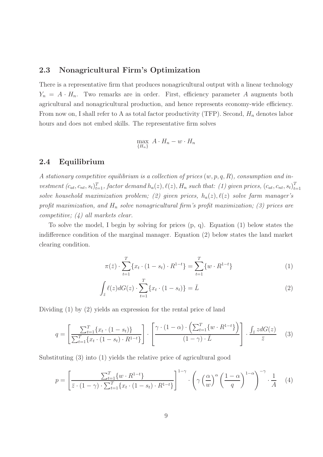### 2.3 Nonagricultural Firm's Optimization

There is a representative firm that produces nonagricultural output with a linear technology  $Y_n = A \cdot H_n$ . Two remarks are in order. First, efficiency parameter A augments both agricultural and nonagricultural production, and hence represents economy-wide efficiency. From now on, I shall refer to A as total factor productivity (TFP). Second,  $H_n$  denotes labor hours and does not embed skills. The representative firm solves

$$
\max_{\{H_n\}} A \cdot H_n - w \cdot H_n
$$

### 2.4 Equilibrium

A stationary competitive equilibrium is a collection of prices  $(w, p, q, R)$ , consumption and investment  $(c_{at}, c_{nt}, s_t)_{t=1}^T$ , factor demand  $h_a(z)$ ,  $\ell(z)$ ,  $H_n$  such that: (1) given prices,  $(c_{at}, c_{nt}, s_t)_{t=1}^T$  $t=1$ solve household maximization problem; (2) given prices,  $h_a(z)$ ,  $\ell(z)$  solve farm manager's profit maximization, and  $H_n$  solve nonagricultural firm's profit maximization; (3) prices are competitive; (4) all markets clear.

To solve the model, I begin by solving for prices (p, q). Equation (1) below states the indifference condition of the marginal manager. Equation (2) below states the land market clearing condition.

$$
\pi(\bar{z}) \cdot \sum_{t=1}^{T} \{x_t \cdot (1 - s_t) \cdot R^{1-t}\} = \sum_{t=1}^{T} \{w \cdot R^{1-t}\}
$$
 (1)

$$
\int_{\bar{z}} \ell(z) dG(z) \cdot \sum_{t=1}^{T} \{x_t \cdot (1 - s_t)\} = \bar{L}
$$
\n(2)

Dividing (1) by (2) yields an expression for the rental price of land

$$
q = \left[\frac{\sum_{t=1}^{T} \{x_t \cdot (1-s_t)\}}{\sum_{t=1}^{T} \{x_t \cdot (1-s_t) \cdot R^{1-t}\}}\right] \cdot \left[\frac{\gamma \cdot (1-\alpha) \cdot \left(\sum_{t=1}^{T} \{w \cdot R^{1-t}\}\right)}{(1-\gamma) \cdot \bar{L}}\right] \cdot \frac{\int_{\bar{z}} z dG(z)}{\bar{z}} \quad (3)
$$

Substituting (3) into (1) yields the relative price of agricultural good

$$
p = \left[\frac{\sum_{t=1}^{T} \{w \cdot R^{1-t}\}}{\bar{z} \cdot (1-\gamma) \cdot \sum_{t=1}^{T} \{x_t \cdot (1-s_t) \cdot R^{1-t}\}}\right]^{1-\gamma} \cdot \left(\gamma \left(\frac{\alpha}{w}\right)^{\alpha} \left(\frac{1-\alpha}{q}\right)^{1-\alpha}\right)^{-\gamma} \cdot \frac{1}{A} \quad (4)
$$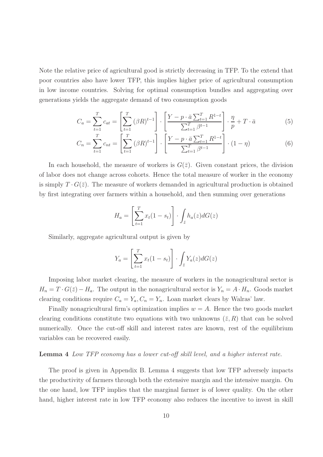Note the relative price of agricultural good is strictly decreasing in TFP. To the extend that poor countries also have lower TFP, this implies higher price of agricultural consumption in low income countries. Solving for optimal consumption bundles and aggregating over generations yields the aggregate demand of two consumption goods

$$
C_a = \sum_{t=1}^T c_{at} = \left[ \sum_{t=1}^T (\beta R)^{t-1} \right] \cdot \left[ \frac{Y - p \cdot \bar{a} \sum_{t=1}^T R^{1-t}}{\sum_{t=1}^T \beta^{t-1}} \right] \cdot \frac{\eta}{p} + T \cdot \bar{a}
$$
(5)

$$
C_n = \sum_{t=1}^{T} c_{nt} = \left[ \sum_{t=1}^{T} (\beta R)^{t-1} \right] \cdot \left[ \frac{Y - p \cdot \bar{a} \sum_{t=1}^{T} R^{1-t}}{\sum_{t=1}^{T} \beta^{t-1}} \right] \cdot (1 - \eta) \tag{6}
$$

In each household, the measure of workers is  $G(\bar{z})$ . Given constant prices, the division of labor does not change across cohorts. Hence the total measure of worker in the economy is simply  $T \cdot G(\bar{z})$ . The measure of workers demanded in agricultural production is obtained by first integrating over farmers within a household, and then summing over generations

$$
H_a = \left[\sum_{t=1}^T x_t (1 - s_t)\right] \cdot \int_{\bar{z}} h_a(z) dG(z)
$$

Similarly, aggregate agricultural output is given by

$$
Y_a = \left[\sum_{t=1}^T x_t (1 - s_t)\right] \cdot \int_{\bar{z}} Y_a(z) dG(z)
$$

Imposing labor market clearing, the measure of workers in the nonagricultural sector is  $H_n = T \cdot G(\bar{z}) - H_a$ . The output in the nonagricultural sector is  $Y_n = A \cdot H_n$ . Goods market clearing conditions require  $C_a = Y_a$ ,  $C_n = Y_n$ . Loan market clears by Walras' law.

Finally nonagricultural firm's optimization implies  $w = A$ . Hence the two goods market clearing conditions constitute two equations with two unknowns  $(\bar{z}, R)$  that can be solved numerically. Once the cut-off skill and interest rates are known, rest of the equilibrium variables can be recovered easily.

#### Lemma 4 Low TFP economy has a lower cut-off skill level, and a higher interest rate.

The proof is given in Appendix B. Lemma 4 suggests that low TFP adversely impacts the productivity of farmers through both the extensive margin and the intensive margin. On the one hand, low TFP implies that the marginal farmer is of lower quality. On the other hand, higher interest rate in low TFP economy also reduces the incentive to invest in skill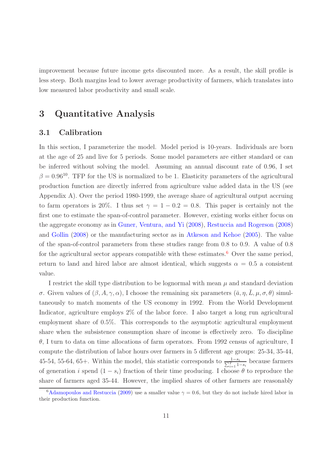improvement because future income gets discounted more. As a result, the skill profile is less steep. Both margins lead to lower average productivity of farmers, which translates into low measured labor productivity and small scale.

### 3 Quantitative Analysis

### 3.1 Calibration

In this section, I parameterize the model. Model period is 10-years. Individuals are born at the age of 25 and live for 5 periods. Some model parameters are either standard or can be inferred without solving the model. Assuming an annual discount rate of 0.96, I set  $\beta = 0.96^{10}$ . TFP for the US is normalized to be 1. Elasticity parameters of the agricultural production function are directly inferred from agriculture value added data in the US (see Appendix A). Over the period 1980-1999, the average share of agricultural output accruing to farm operators is 20%. I thus set  $\gamma = 1 - 0.2 = 0.8$ . This paper is certainly not the first one to estimate the span-of-control parameter. However, existing works either focus on the aggregate economy as in Guner, Ventura, and Yi (2008), Restuccia and Rogerson (2008) and Gollin (2008) or the manufacturing sector as in Atkeson and Kehoe (2005). The value of the span-of-control parameters from these studies range from 0.8 to 0.9. A value of 0.8 for the agricultural sector appears compatible with these estimates.<sup>6</sup> Over the same period, return to land and hired labor are almost identical, which suggests  $\alpha = 0.5$  a consistent value.

I restrict the skill type distribution to be lognormal with mean  $\mu$  and standard deviation σ. Given values of  $(β, A, γ, α)$ , I choose the remaining six parameters  $(ā, η, Ĩ, μ, σ, θ)$  simultaneously to match moments of the US economy in 1992. From the World Development Indicator, agriculture employs 2% of the labor force. I also target a long run agricultural employment share of 0.5%. This corresponds to the asymptotic agricultural employment share when the subsistence consumption share of income is effectively zero. To discipline  $\theta$ , I turn to data on time allocations of farm operators. From 1992 census of agriculture, I compute the distribution of labor hours over farmers in 5 different age groups: 25-34, 35-44, 45-54, 55-64, 65+. Within the model, this statistic corresponds to  $\frac{1-s_i}{\sum_{i=1}^T 1-s_i}$  because farmers of generation i spend  $(1 - s_i)$  fraction of their time producing. I choose  $\theta$  to reproduce the share of farmers aged 35-44. However, the implied shares of other farmers are reasonably

<sup>&</sup>lt;sup>6</sup>Adamopoulos and Restuccia (2009) use a smaller value  $\gamma = 0.6$ , but they do not include hired labor in their production function.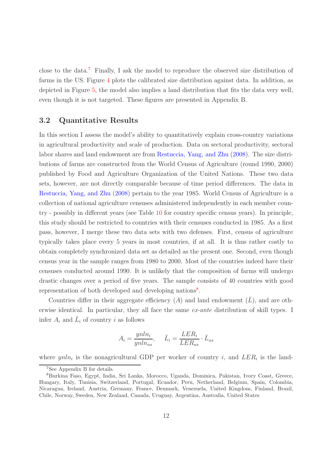close to the data.<sup>7</sup> Finally, I ask the model to reproduce the observed size distribution of farms in the US. Figure 4 plots the calibrated size distribution against data. In addition, as depicted in Figure 5, the model also implies a land distribution that fits the data very well, even though it is not targeted. These figures are presented in Appendix B.

### 3.2 Quantitative Results

In this section I assess the model's ability to quantitatively explain cross-country variations in agricultural productivity and scale of production. Data on sectoral productivity, sectoral labor shares and land endowment are from Restuccia, Yang, and Zhu (2008). The size distributions of farms are constructed from the World Census of Agriculture (round 1990, 2000) published by Food and Agriculture Organization of the United Nations. These two data sets, however, are not directly comparable because of time period differences. The data in Restuccia, Yang, and Zhu (2008) pertain to the year 1985. World Census of Agriculture is a collection of national agriculture censuses administered independently in each member country - possibly in different years (see Table 10 for country specific census years). In principle, this study should be restricted to countries with their censuses conducted in 1985. As a first pass, however, I merge these two data sets with two defenses. First, census of agriculture typically takes place every 5 years in most countries, if at all. It is thus rather costly to obtain completely synchronized data set as detailed as the present one. Second, even though census year in the sample ranges from 1980 to 2000. Most of the countries indeed have their censuses conducted around 1990. It is unlikely that the composition of farms will undergo drastic changes over a period of five years. The sample consists of 40 countries with good representation of both developed and developing nations<sup>8</sup>.

Countries differ in their aggregate efficiency  $(A)$  and land endowment  $(\overline{L})$ , and are otherwise identical. In particular, they all face the same ex-ante distribution of skill types. I infer  $A_i$  and  $\overline{L}_i$  of country i as follows

$$
A_i = \frac{ynln_i}{ynln_{us}}, \quad \bar{L}_i = \frac{LER_i}{LER_{us}} \cdot \bar{L}_{us}
$$

where  $ynln_i$  is the nonagricultural GDP per worker of country i, and  $LER_i$  is the land-

<sup>7</sup>See Appendix B for details.

<sup>8</sup>Burkina Faso, Egypt, India, Sri Lanka, Morocco, Uganda, Dominica, Pakistan, Ivory Coast, Greece, Hungary, Italy, Tunisia, Switzerland, Portugal, Ecuador, Peru, Netherland, Belgium, Spain, Colombia, Nicaragua, Ireland, Austria, Germany, France, Denmark, Venezuela, United Kingdom, Finland, Brazil, Chile, Norway, Sweden, New Zealand, Canada, Uruguay, Argentina, Australia, United States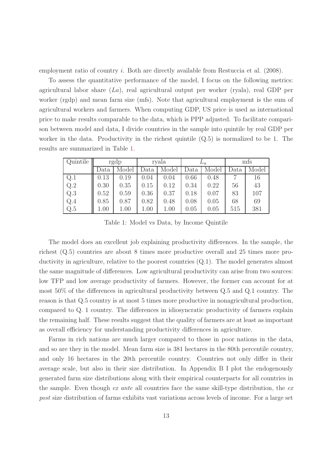employment ratio of country *i*. Both are directly available from Restuccia et al. (2008).

To assess the quantitative performance of the model, I focus on the following metrics: agricultural labor share  $(La)$ , real agricultural output per worker (ryala), real GDP per worker (rgdp) and mean farm size (mfs). Note that agricultural employment is the sum of agricultural workers and farmers. When computing GDP, US price is used as international price to make results comparable to the data, which is PPP adjusted. To facilitate comparison between model and data, I divide countries in the sample into quintile by real GDP per worker in the data. Productivity in the richest quintile (Q.5) is normalized to be 1. The results are summarized in Table 1.

| Quintile |      | rgdp  |      | ryala | $L_a$ |       | mts  |       |
|----------|------|-------|------|-------|-------|-------|------|-------|
|          | Data | Model | Data | Model | Data  | Model | Data | Model |
| Q.1      | 0.13 | 0.19  | 0.04 | 0.04  | 0.66  | 0.48  |      | 16    |
| Q.2      | 0.30 | 0.35  | 0.15 | 0.12  | 0.34  | 0.22  | 56   | 43    |
| Q.3      | 0.52 | 0.59  | 0.36 | 0.37  | 0.18  | 0.07  | 83   | 107   |
| Q.4      | 0.85 | 0.87  | 0.82 | 0.48  | 0.08  | 0.05  | 68   | 69    |
| Q.5      | 1.00 | 1.00  | 1.00 | 1.00  | 0.05  | 0.05  | 515  | 381   |

Table 1: Model vs Data, by Income Quintile

The model does an excellent job explaining productivity differences. In the sample, the richest (Q.5) countries are about 8 times more productive overall and 25 times more productivity in agriculture, relative to the poorest countries  $(Q, 1)$ . The model generates almost the same magnitude of differences. Low agricultural productivity can arise from two sources: low TFP and low average productivity of farmers. However, the former can account for at most 50% of the differences in agricultural productivity between Q.5 and Q.1 country. The reason is that Q.5 country is at most 5 times more productive in nonagricultural production, compared to Q. 1 country. The differences in idiosyncratic productivity of farmers explain the remaining half. These results suggest that the quality of farmers are at least as important as overall efficiency for understanding productivity differences in agriculture.

Farms in rich nations are much larger compared to those in poor nations in the data, and so are they in the model. Mean farm size is 381 hectares in the 80th percentile country, and only 16 hectares in the 20th percentile country. Countries not only differ in their average scale, but also in their size distribution. In Appendix B I plot the endogenously generated farm size distributions along with their empirical counterparts for all countries in the sample. Even though ex ante all countries face the same skill-type distribution, the ex post size distribution of farms exhibits vast variations across levels of income. For a large set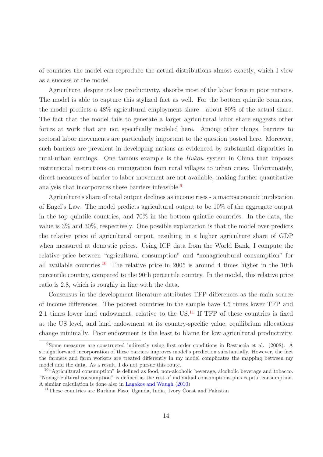of countries the model can reproduce the actual distributions almost exactly, which I view as a success of the model.

Agriculture, despite its low productivity, absorbs most of the labor force in poor nations. The model is able to capture this stylized fact as well. For the bottom quintile countries, the model predicts a 48% agricultural employment share - about 80% of the actual share. The fact that the model fails to generate a larger agricultural labor share suggests other forces at work that are not specifically modeled here. Among other things, barriers to sectoral labor movements are particularly important to the question posted here. Moreover, such barriers are prevalent in developing nations as evidenced by substantial disparities in rural-urban earnings. One famous example is the Hukou system in China that imposes institutional restrictions on immigration from rural villages to urban cities. Unfortunately, direct measures of barrier to labor movement are not available, making further quantitative analysis that incorporates these barriers infeasible.<sup>9</sup>

Agriculture's share of total output declines as income rises - a macroeconomic implication of Engel's Law. The model predicts agricultural output to be 10% of the aggregate output in the top quintile countries, and 70% in the bottom quintile countries. In the data, the value is 3% and 30%, respectively. One possible explanation is that the model over-predicts the relative price of agricultural output, resulting in a higher agriculture share of GDP when measured at domestic prices. Using ICP data from the World Bank, I compute the relative price between "agricultural consumption" and "nonagricultural consumption" for all available countries.<sup>10</sup> The relative price in 2005 is around 4 times higher in the 10th percentile country, compared to the 90th percentile country. In the model, this relative price ratio is 2.8, which is roughly in line with the data.

Consensus in the development literature attributes TFP differences as the main source of income differences. The poorest countries in the sample have 4.5 times lower TFP and 2.1 times lower land endowment, relative to the  $US<sup>11</sup>$  If TFP of these countries is fixed at the US level, and land endowment at its country-specific value, equilibrium allocations change minimally. Poor endowment is the least to blame for low agricultural productivity.

<sup>9</sup>Some measures are constructed indirectly using first order conditions in Restuccia et al. (2008). A straightforward incorporation of these barriers improves model's prediction substantially. However, the fact the farmers and farm workers are treated differently in my model complicates the mapping between my model and the data. As a result, I do not pursue this route.

<sup>10</sup>"Agricultural consumption" is defined as food, non-alcoholic beverage, alcoholic beverage and tobacco. "Nonagricultural consumption" is defined as the rest of individual consumptions plus capital consumption. A similar calculation is done also in Lagakos and Waugh (2010)

<sup>11</sup>These countries are Burkina Faso, Uganda, India, Ivory Coast and Pakistan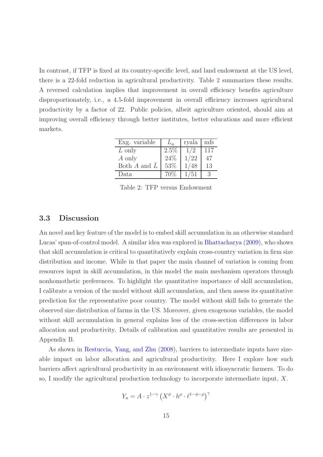In contrast, if TFP is fixed at its country-specific level, and land endowment at the US level, there is a 22-fold reduction in agricultural productivity. Table 2 summarizes these results. A reversed calculation implies that improvement in overall efficiency benefits agriculture disproportionately, i.e., a 4.5-fold improvement in overall efficiency increases agricultural productivity by a factor of 22. Public policies, albeit agriculture oriented, should aim at improving overall efficiency through better institutes, better educations and more efficient markets.

| Exg. variable               | $\mathcal{L}_a$ | ryala | mfs |
|-----------------------------|-----------------|-------|-----|
| $L$ only                    | $2.5\%$         | 1/2   | 117 |
| A only                      | 24%             | 1/22  | 47  |
| Both $A$ and $\overline{L}$ | 53\%            | 1/48  | 13  |
| Data                        | 70%             | 1/51  |     |

Table 2: TFP versus Endowment

### 3.3 Discussion

An novel and key feature of the model is to embed skill accumulation in an otherwise standard Lucas' span-of-control model. A similar idea was explored in Bhattacharya (2009), who shows that skill accumulation is critical to quantitatively explain cross-country variation in firm size distribution and income. While in that paper the main channel of variation is coming from resources input in skill accumulation, in this model the main mechanism operators through nonhomothetic preferences. To highlight the quantitative importance of skill accumulation, I calibrate a version of the model without skill accumulation, and then assess its quantitative prediction for the representative poor country. The model without skill fails to generate the observed size distribution of farms in the US. Moreover, given exogenous variables, the model without skill accumulation in general explains less of the cross-section differences in labor allocation and productivity. Details of calibration and quantitative results are presented in Appendix B.

As shown in Restuccia, Yang, and Zhu (2008), barriers to intermediate inputs have sizeable impact on labor allocation and agricultural productivity. Here I explore how such barriers affect agricultural productivity in an environment with idiosyncratic farmers. To do so, I modify the agricultural production technology to incorporate intermediate input,  $X$ .

$$
Y_a = A \cdot z^{1-\gamma} \left( X^{\phi} \cdot h^{\rho} \cdot \ell^{1-\phi-\rho} \right)^{\gamma}
$$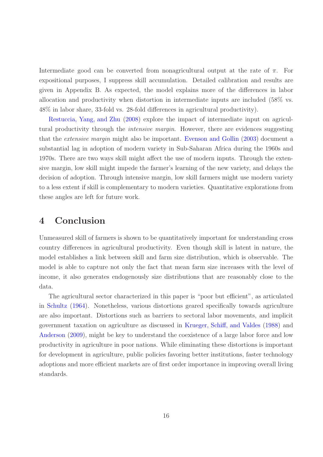Intermediate good can be converted from nonagricultural output at the rate of  $\pi$ . For expositional purposes, I suppress skill accumulation. Detailed calibration and results are given in Appendix B. As expected, the model explains more of the differences in labor allocation and productivity when distortion in intermediate inputs are included (58% vs. 48% in labor share, 33-fold vs. 28-fold differences in agricultural productivity).

Restuccia, Yang, and Zhu (2008) explore the impact of intermediate input on agricultural productivity through the intensive margin. However, there are evidences suggesting that the extensive margin might also be important. Evenson and Gollin (2003) document a substantial lag in adoption of modern variety in Sub-Saharan Africa during the 1960s and 1970s. There are two ways skill might affect the use of modern inputs. Through the extensive margin, low skill might impede the farmer's learning of the new variety, and delays the decision of adoption. Through intensive margin, low skill farmers might use modern variety to a less extent if skill is complementary to modern varieties. Quantitative explorations from these angles are left for future work.

### 4 Conclusion

Unmeasured skill of farmers is shown to be quantitatively important for understanding cross country differences in agricultural productivity. Even though skill is latent in nature, the model establishes a link between skill and farm size distribution, which is observable. The model is able to capture not only the fact that mean farm size increases with the level of income, it also generates endogenously size distributions that are reasonably close to the data.

The agricultural sector characterized in this paper is "poor but efficient", as articulated in Schultz (1964). Nonetheless, various distortions geared specifically towards agriculture are also important. Distortions such as barriers to sectoral labor movements, and implicit government taxation on agriculture as discussed in Krueger, Schiff, and Valdes (1988) and Anderson (2009), might be key to understand the coexistence of a large labor force and low productivity in agriculture in poor nations. While eliminating these distortions is important for development in agriculture, public policies favoring better institutions, faster technology adoptions and more efficient markets are of first order importance in improving overall living standards.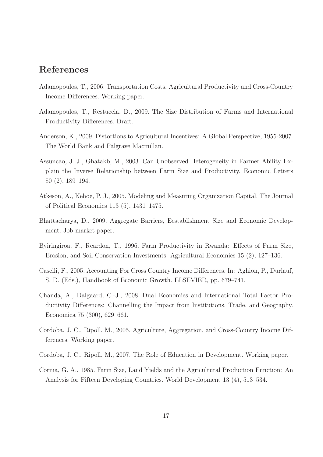### References

- Adamopoulos, T., 2006. Transportation Costs, Agricultural Productivity and Cross-Country Income Differences. Working paper.
- Adamopoulos, T., Restuccia, D., 2009. The Size Distribution of Farms and International Productivity Differences. Draft.
- Anderson, K., 2009. Distortions to Agricultural Incentives: A Global Perspective, 1955-2007. The World Bank and Palgrave Macmillan.
- Assuncao, J. J., Ghatakb, M., 2003. Can Unobserved Heterogeneity in Farmer Ability Explain the Inverse Relationship between Farm Size and Productivity. Economic Letters 80 (2), 189–194.
- Atkeson, A., Kehoe, P. J., 2005. Modeling and Measuring Organization Capital. The Journal of Political Economics 113 (5), 1431–1475.
- Bhattacharya, D., 2009. Aggregate Barriers, Eestablishment Size and Economic Development. Job market paper.
- Byiringiroa, F., Reardon, T., 1996. Farm Productivity in Rwanda: Effects of Farm Size, Erosion, and Soil Conservation Investments. Agricultural Economics 15 (2), 127–136.
- Caselli, F., 2005. Accounting For Cross Country Income Differences. In: Aghion, P., Durlauf, S. D. (Eds.), Handbook of Economic Growth. ELSEVIER, pp. 679–741.
- Chanda, A., Dalgaard, C.-J., 2008. Dual Economies and International Total Factor Productivity Differences: Channelling the Impact from Institutions, Trade, and Geography. Economica 75 (300), 629–661.
- Cordoba, J. C., Ripoll, M., 2005. Agriculture, Aggregation, and Cross-Country Income Differences. Working paper.
- Cordoba, J. C., Ripoll, M., 2007. The Role of Education in Development. Working paper.
- Cornia, G. A., 1985. Farm Size, Land Yields and the Agricultural Production Function: An Analysis for Fifteen Developing Countries. World Development 13 (4), 513–534.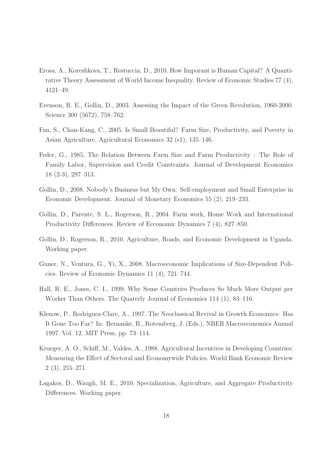- Erosa, A., Koreshkova, T., Restuccia, D., 2010. How Imporant is Human Capital? A Quantitative Theory Assessment of World Income Inequality. Review of Economic Studies 77 (4), 4121–49.
- Evenson, R. E., Gollin, D., 2003. Assessing the Impact of the Green Revolution, 1960-2000. Science 300 (5672), 758–762.
- Fan, S., Chan-Kang, C., 2005. Is Small Beautiful? Farm Size, Productivity, and Poverty in Asian Agriculture. Agricultural Economics 32 (s1), 135–146.
- Feder, G., 1985. The Relation Between Farm Size and Farm Productivity : The Role of Family Labor, Supervision and Credit Constraints. Journal of Development Economics 18 (2-3), 297–313.
- Gollin, D., 2008. Nobody's Business but My Own: Self-employment and Small Enterprise in Economic Development. Journal of Monetary Economics 55 (2), 219–233.
- Gollin, D., Parente, S. L., Rogerson, R., 2004. Farm work, Home Work and International Productivity Differences. Review of Ecconomic Dynamics 7 (4), 827–850.
- Gollin, D., Rogerson, R., 2010. Agriculture, Roads, and Economic Development in Uganda. Working paper.
- Guner, N., Ventura, G., Yi, X., 2008. Macroeconomic Implications of Size-Dependent Policies. Review of Economic Dynamics 11 (4), 721–744.
- Hall, R. E., Jones, C. I., 1999. Why Some Countries Produces So Much More Output per Worker Than Others. The Quaterly Journal of Economics 114 (1), 83–116.
- Klenow, P., Rodriguez-Clare, A., 1997. The Neoclassical Revival in Growth Economics: Has It Gone Too Far? In: Bernanke, B., Rotemberg, J. (Eds.), NBER Macroeconomics Annual 1997. Vol. 12. MIT Press, pp. 73–114.
- Krueger, A. O., Schiff, M., Valdes, A., 1988. Agricultural Incentives in Developing Countries: Measuring the Effect of Sectoral and Economywide Policies. World Bank Economic Review 2 (3), 255–271.
- Lagakos, D., Waugh, M. E., 2010. Specialization, Agriculture, and Aggregate Productivity Differences. Working paper.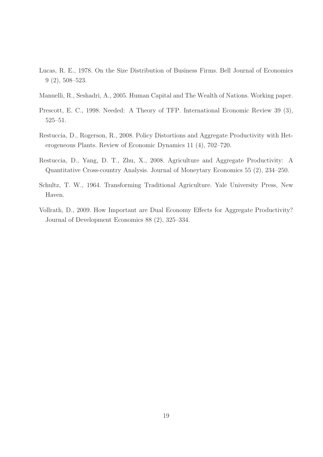- Lucas, R. E., 1978. On the Size Distribution of Business Firms. Bell Journal of Economics 9 (2), 508–523.
- Manuelli, R., Seshadri, A., 2005. Human Capital and The Wealth of Nations. Working paper.
- Prescott, E. C., 1998. Needed: A Theory of TFP. International Economic Review 39 (3), 525–51.
- Restuccia, D., Rogerson, R., 2008. Policy Distortions and Aggregate Productivity with Heterogeneous Plants. Review of Economic Dynamics 11 (4), 702–720.
- Restuccia, D., Yang, D. T., Zhu, X., 2008. Agriculture and Aggregate Productivity: A Quantitative Cross-country Analysis. Journal of Moneytary Economics 55 (2), 234–250.
- Schultz, T. W., 1964. Transforming Traditional Agriculture. Yale University Press, New Haven.
- Vollrath, D., 2009. How Important are Dual Economy Effects for Aggregate Productivity? Journal of Development Economics 88 (2), 325–334.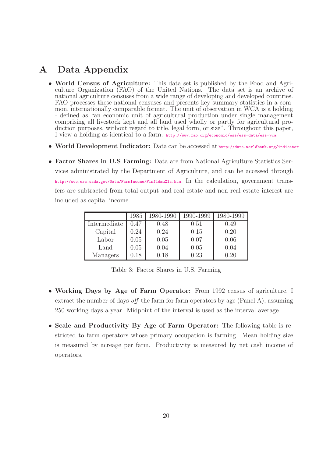### A Data Appendix

- World Census of Agriculture: This data set is published by the Food and Agriculture Organization (FAO) of the United Nations. The data set is an archive of national agriculture censuses from a wide range of developing and developed countries. FAO processes these national censuses and presents key summary statistics in a common, internationally comparable format. The unit of observation in WCA is a holding - defined as "an economic unit of agricultural production under single management comprising all livestock kept and all land used wholly or partly for agricultural production purposes, without regard to title, legal form, or size". Throughout this paper, I view a holding as identical to a farm. http://www.fao.org/economic/ess/ess-data/ess-wca
- World Development Indicator: Data can be accessed at http://data.worldbank.org/indicator
- Factor Shares in U.S. Farming: Data are from National Agriculture Statistics Services administrated by the Department of Agriculture, and can be accessed through http://www.ers.usda.gov/Data/FarmIncome/FinfidmuXls.htm. In the calculation, government transfers are subtracted from total output and real estate and non real estate interest are included as capital income.

|              | 1985     | 1980-1990 | 1990-1999 | 1980-1999 |
|--------------|----------|-----------|-----------|-----------|
| Intermediate | 0.47     | 0.48      | 0.51      | 0.49      |
| Capital      | 0.24     | 0.24      | 0.15      | 0.20      |
| Labor        | 0.05     | 0.05      | 0.07      | 0.06      |
| Land         | 0.05     | 0.04      | 0.05      | 0.04      |
| Managers     | $0.18\,$ | 0.18      | 0.23      | 0.20      |

Table 3: Factor Shares in U.S. Farming

- Working Days by Age of Farm Operator: From 1992 census of agriculture, I extract the number of days off the farm for farm operators by age (Panel A), assuming 250 working days a year. Midpoint of the interval is used as the interval average.
- Scale and Productivity By Age of Farm Operator: The following table is restricted to farm operators whose primary occupation is farming. Mean holding size is measured by acreage per farm. Productivity is measured by net cash income of operators.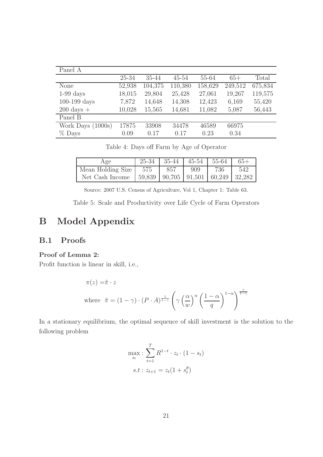| Panel A                |        |         |           |         |         |         |
|------------------------|--------|---------|-----------|---------|---------|---------|
|                        | 25-34  | 35-44   | $45 - 54$ | 55-64   | $65+$   | Total   |
| None                   | 52,938 | 104,375 | 110,380   | 158,629 | 249,512 | 675,834 |
| $1-99$ days            | 18,015 | 29,804  | 25,428    | 27,061  | 19,267  | 119,575 |
| $100-199$ days         | 7,872  | 14,648  | 14,308    | 12,423  | 6,169   | 55,420  |
| $200 \text{ days} +$   | 10,028 | 15,565  | 14,681    | 11,082  | 5,087   | 56,443  |
| Panel B                |        |         |           |         |         |         |
| Work Days (<br>(1000s) | 17875  | 33908   | 34478     | 46589   | 66975   |         |
| $%$ Days               | 0.09   | 0.17    | 0.17      | 0.23    | 0.34    |         |

Table 4: Days off Farm by Age of Operator

| Age                                                          | 25-34 | $-35-44$ |     | $45-54$   55-64 |     |
|--------------------------------------------------------------|-------|----------|-----|-----------------|-----|
| Mean Holding Size $\vert$ 575                                |       | 857      | 909 | 736             | 542 |
| Net Cash Income   59,839   90,705   91,501   60,249   32,282 |       |          |     |                 |     |

Source: 2007 U.S. Census of Agriculture, Vol 1, Chapter 1: Table 63.

Table 5: Scale and Productivity over Life Cycle of Farm Operators

## B Model Appendix

### B.1 Proofs

### Proof of Lemma 2:

Profit function is linear in skill, i.e.,

$$
\pi(z) = \tilde{\pi} \cdot z
$$
  
where  $\tilde{\pi} = (1 - \gamma) \cdot (P \cdot A)^{\frac{1}{1 - \gamma}} \left( \gamma \left( \frac{\alpha}{w} \right)^{\alpha} \left( \frac{1 - \alpha}{q} \right)^{1 - \alpha} \right)^{\frac{\gamma}{1 - \gamma}}$ 

In a stationary equilibrium, the optimal sequence of skill investment is the solution to the following problem

$$
\max_{s_t} : \sum_{t=1}^{T} R^{1-t} \cdot z_t \cdot (1 - s_t)
$$
  
s.t:  $z_{t+1} = z_t (1 + s_t^{\theta})$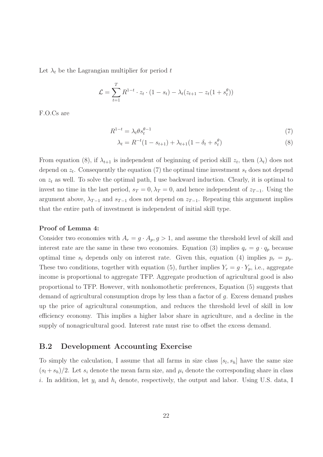Let  $\lambda_t$  be the Lagrangian multiplier for period t

$$
\mathcal{L} = \sum_{t=1}^{T} R^{1-t} \cdot z_t \cdot (1 - s_t) - \lambda_t (z_{t+1} - z_t (1 + s_t^{\theta}))
$$

F.O.Cs are

$$
R^{1-t} = \lambda_t \theta s_t^{\theta - 1} \tag{7}
$$

$$
\lambda_t = R^{-t}(1 - s_{t+1}) + \lambda_{t+1}(1 - \delta_t + s_t^{\theta})
$$
\n(8)

From equation (8), if  $\lambda_{t+1}$  is independent of beginning of period skill  $z_t$ , then  $(\lambda_t)$  does not depend on  $z_t$ . Consequently the equation (7) the optimal time investment  $s_t$  does not depend on  $z_t$  as well. To solve the optimal path, I use backward induction. Clearly, it is optimal to invest no time in the last period,  $s_T = 0$ ,  $\lambda_T = 0$ , and hence independent of  $z_{T-1}$ . Using the argument above,  $\lambda_{T-1}$  and  $s_{T-1}$  does not depend on  $z_{T-1}$ . Repeating this argument implies that the entire path of investment is independent of initial skill type.

#### Proof of Lemma 4:

Consider two economies with  $A_r = g \cdot A_p$ ,  $g > 1$ , and assume the threshold level of skill and interest rate are the same in these two economies. Equation (3) implies  $q_r = g \cdot q_p$  because optimal time  $s_t$  depends only on interest rate. Given this, equation (4) implies  $p_r = p_p$ . These two conditions, together with equation (5), further implies  $Y_r = g \cdot Y_p$ , i.e., aggregate income is proportional to aggregate TFP. Aggregate production of agricultural good is also proportional to TFP. However, with nonhomothetic preferences, Equation (5) suggests that demand of agricultural consumption drops by less than a factor of g. Excess demand pushes up the price of agricultural consumption, and reduces the threshold level of skill in low efficiency economy. This implies a higher labor share in agriculture, and a decline in the supply of nonagricultural good. Interest rate must rise to offset the excess demand.

### B.2 Development Accounting Exercise

To simply the calculation, I assume that all farms in size class  $[s_l, s_h]$  have the same size  $(s_l + s_h)/2$ . Let  $s_i$  denote the mean farm size, and  $\mu_i$  denote the corresponding share in class i. In addition, let  $y_i$  and  $h_i$  denote, respectively, the output and labor. Using U.S. data, I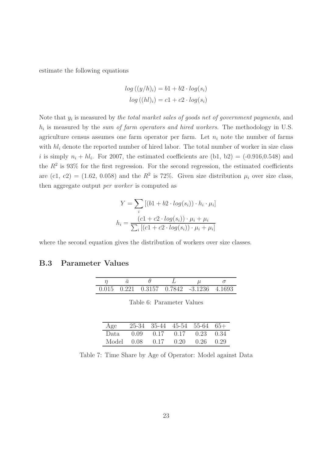estimate the following equations

$$
log ((y/h)_i) = b1 + b2 \cdot log(s_i)
$$
  

$$
log ((hl)_i) = c1 + c2 \cdot log(s_i)
$$

Note that  $y_i$  is measured by the total market sales of goods net of government payments, and  $h_i$  is measured by the sum of farm operators and hired workers. The methodology in U.S. agriculture census assumes one farm operator per farm. Let  $n_i$  note the number of farms with  $h_i$  denote the reported number of hired labor. The total number of worker in size class i is simply  $n_i + h_i$ . For 2007, the estimated coefficients are  $(b1, b2) = (-0.916, 0.548)$  and the  $R^2$  is 93% for the first regression. For the second regression, the estimated coefficients are (c1, c2) = (1.62, 0.058) and the  $R^2$  is 72%. Given size distribution  $\mu_i$  over size class, then aggregate output per worker is computed as

$$
Y = \sum_{i} [(b1 + b2 \cdot log(s_i)) \cdot h_i \cdot \mu_i]
$$

$$
h_i = \frac{(c1 + c2 \cdot log(s_i)) \cdot \mu_i + \mu_i}{\sum_{i} [(c1 + c2 \cdot log(s_i)) \cdot \mu_i + \mu_i]}
$$

where the second equation gives the distribution of workers over size classes.

### B.3 Parameter Values

|  |  | $0.015$ $0.221$ $0.3157$ $0.7842$ $-3.1236$ $4.1693$ |  |
|--|--|------------------------------------------------------|--|

Table 6: Parameter Values

| Age   | $25-34$ 35-44 45-54 55-64 65+      |               |  |
|-------|------------------------------------|---------------|--|
| Data. | $0.09$ $0.17$ $0.17$ $0.23$ $0.34$ |               |  |
| Model | $0.08$ $0.17$ $0.20$               | $0.26$ $0.29$ |  |

Table 7: Time Share by Age of Operator: Model against Data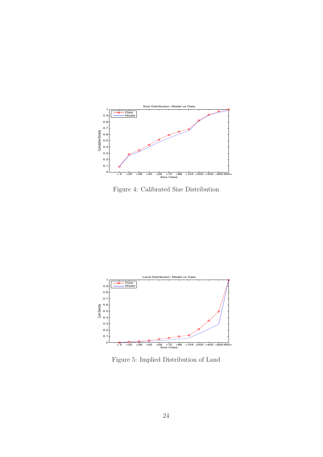

Figure 4: Calibrated Size Distribution



Figure 5: Implied Distribution of Land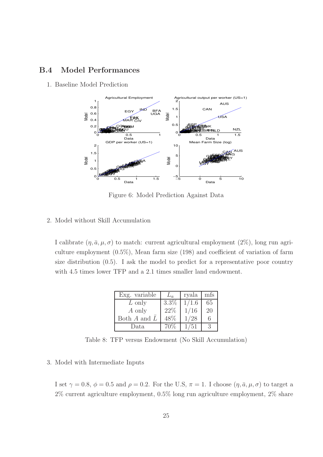### B.4 Model Performances

1. Baseline Model Prediction



Figure 6: Model Prediction Against Data

#### 2. Model without Skill Accumulation

I calibrate  $(\eta, \bar{a}, \mu, \sigma)$  to match: current agricultural employment  $(2\%)$ , long run agriculture employment (0.5%), Mean farm size (198) and coefficient of variation of farm size distribution (0.5). I ask the model to predict for a representative poor country with 4.5 times lower TFP and a 2.1 times smaller land endowment.

| Exg. variable               |         | ryala | mfs |
|-----------------------------|---------|-------|-----|
| L only                      | $3.3\%$ | 1/1.6 | 65  |
| $A$ only                    | 22%     | 1/16  | 20  |
| Both $A$ and $\overline{L}$ | 48\%    | 1/28  | 6   |
| Data                        | 70\%    | 1/51  |     |

Table 8: TFP versus Endowment (No Skill Accumulation)

#### 3. Model with Intermediate Inputs

I set  $\gamma = 0.8$ ,  $\phi = 0.5$  and  $\rho = 0.2$ . For the U.S,  $\pi = 1$ . I choose  $(\eta, \bar{a}, \mu, \sigma)$  to target a 2% current agriculture employment, 0.5% long run agriculture employment, 2% share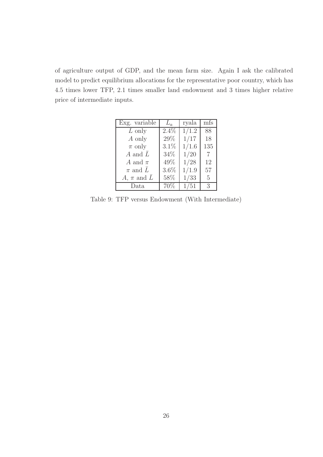of agriculture output of GDP, and the mean farm size. Again I ask the calibrated model to predict equilibrium allocations for the representative poor country, which has 4.5 times lower TFP, 2.1 times smaller land endowment and 3 times higher relative price of intermediate inputs.

| Exg. variable               | $L_a$   | ryala | mfs             |
|-----------------------------|---------|-------|-----------------|
| $L$ only                    | $2.4\%$ | 1/1.2 | 88              |
| A only                      | 29%     | 1/17  | 18              |
| $\pi$ only                  | 3.1%    | 1/1.6 | 135             |
| A and $\overline{L}$        | 34%     | 1/20  | 7               |
| A and $\pi$                 | 49%     | 1/28  | 12              |
| $\pi$ and $\overline{L}$    | 3.6%    | 1/1.9 | 57              |
| A, $\pi$ and $\overline{L}$ | 58%     | 1/33  | $5\overline{)}$ |
| Data                        | 70%     | 1/51  | 3               |

Table 9: TFP versus Endowment (With Intermediate)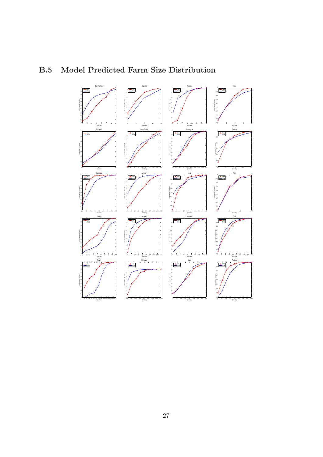#### جابة التصال بين التصال بين التصال بين التصال بين التصال بين التصال بين التصال بين التصال بين التصال بين التصا<br>SriLanka 0.1 0.3 0.5 0.6 0.8 Cumulative Density Burkina Faso Data Model <1 <2 <5 <10 <50 Size Class Ivory Coast 0.6 0.9 Cumulative Density Uganda Data Model c1 ⊲3 <5 <10 <200 <50 <200<br>SizeClass<br>Nicaragua 0.5 0.6 0.9 Cumulative Density Morocco Data Model <1 <2 <4 <10 <20<br>BasClass<br>Pakistan 0.55 0.6 0.65 0.7 0.75 0.8 0.85 0.9 0.95 Cumulative Density India Data Model <0.4 <0.8 <20 Size Class 0.6 0.9 Cumulative Density Data Model <0.5 <1 <2 <3 <4 <5 <7 <10 <20 <50 0.1 0.4 0.6 0.8 Size Class Cumulative Density Data Model eur eta eza er e14 eza eur e140 ezau ezun.<br>SizeClass 0.5 0.6 0.8 Cumulative Density Data Model < 2 < 5 <10 <20 <60 0.4 0.5 0.6 0.7 0.8 0.9 Size Class Cumulative Density Data Model <0.4 <2 <4 <10 <20 <40 <81 <202 <500 0.2 0.5 0.7 0.8 Size Class Tunisia Cumulative Density Dominica Data <5 <10 <20 <50 <100 <200 <500 <1000 <2500 <5000 0.7 0.8 Size Class Cumulative Density Urugay Data <0.8 <1.3 <1.7 <2.1 <4.2 <6.3 <8.4 <12.6 <21 <50 Size Class 0.75 0.8 0.95 Cumulative Density Egypt Data <3 <10 <50 <100 0.55 0.6 0.65 0.7 0.75 0.8 0.85 0.9 0.95 Size Class Chile Cumulative Density Peru Data t <2 <3 <4 <5 <10 <200 <200 <<br>502102086<br>Spain 0.1 0.4 0.7 0.9 Cumulative Density <1 <5 <20 <50 <100 <200 <500 <1000 <2000 <1 Size Class Hungary 0.7 0.9 Cumulative Density Colombia t <2 <3 <5 <10 <200 <500 <500<br>SixeClass<br>Brazil 0.2 0.3 0.5 0.7 0.9 Cumulative Density .<br>Ecuado Data <1 <5 <20 <50 <100 <200 <500 <1000 <2000 <1 Size Class Portugal 0.1 0.2 0.3 0.4 0.5 0.6 0.7 0.8 0.9 Cumulative Density Data <1 <2 <3 <4 <5 <10 <20 <50 <100 <200 <500 <1000<2000 Size Class 0.1 0.2 0.4 0.6 0.7 0.9 Cumulative Density <10 <50 <100 <200 <200 <500 <1000 <5000 <10000 Size Class 0.4 0.6 0.8 0.9 Cumulative Density 1 <2 <5 <10 <50 <100 <200 <500 <1<br> SizeClass 0.1 0.2 0.6 0.7 0.9 Cumulative Density Data <1 <2 <5 <10 <20 <50 <100 <200 <500 Size Class 0.2 0.3 0.4 0.5 0.6 0.7 0.8 0.9 Cumulative Density Data

## B.5 Model Predicted Farm Size Distribution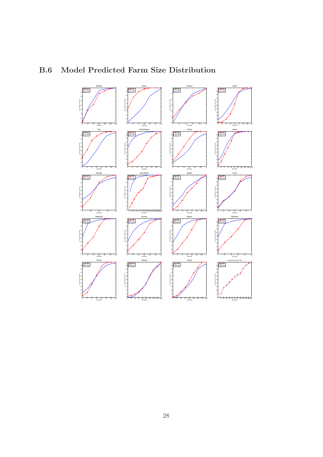

## B.6 Model Predicted Farm Size Distribution